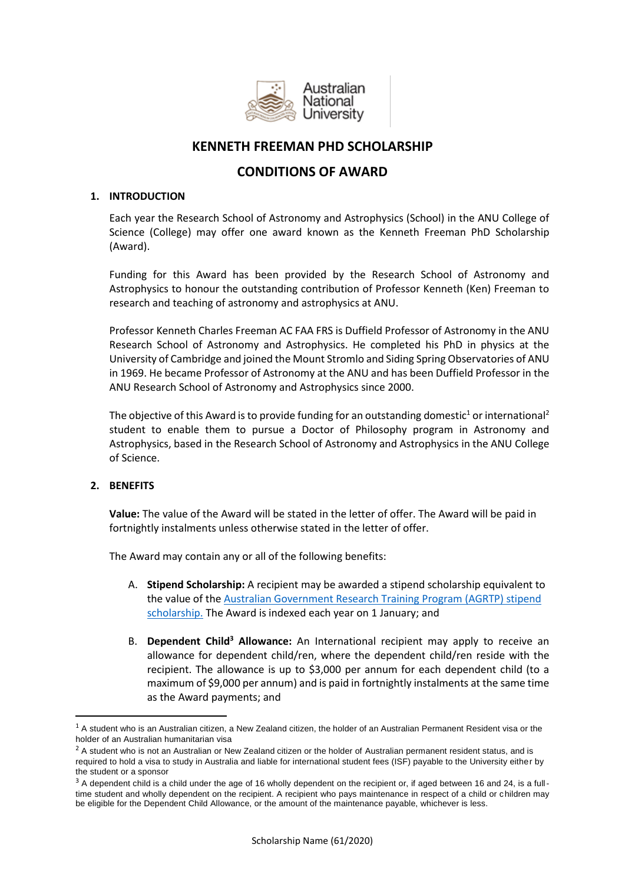

# **KENNETH FREEMAN PHD SCHOLARSHIP**

## **CONDITIONS OF AWARD**

## **1. INTRODUCTION**

Each year the Research School of Astronomy and Astrophysics (School) in the ANU College of Science (College) may offer one award known as the Kenneth Freeman PhD Scholarship (Award).

Funding for this Award has been provided by the Research School of Astronomy and Astrophysics to honour the outstanding contribution of Professor Kenneth (Ken) Freeman to research and teaching of astronomy and astrophysics at ANU.

Professor Kenneth Charles Freeman AC FAA FRS is Duffield Professor of Astronomy in the ANU Research School of Astronomy and Astrophysics. He completed his PhD in physics at the University of Cambridge and joined the Mount Stromlo and Siding Spring Observatories of ANU in 1969. He became Professor of Astronomy at the ANU and has been Duffield Professor in the ANU Research School of Astronomy and Astrophysics since 2000.

The objective of this Award is to provide funding for an outstanding domestic<sup>1</sup> or international<sup>2</sup> student to enable them to pursue a Doctor of Philosophy program in Astronomy and Astrophysics, based in the Research School of Astronomy and Astrophysics in the ANU College of Science.

## **2. BENEFITS**

1

**Value:** The value of the Award will be stated in the letter of offer. The Award will be paid in fortnightly instalments unless otherwise stated in the letter of offer.

The Award may contain any or all of the following benefits:

- A. **Stipend Scholarship:** A recipient may be awarded a stipend scholarship equivalent to the value of the [Australian Government Research Training Program \(AGRTP\) stipend](https://www.anu.edu.au/study/scholarships/find-a-scholarship/australian-government-research-training-program-agrtp-stipend)  [scholarship.](https://www.anu.edu.au/study/scholarships/find-a-scholarship/australian-government-research-training-program-agrtp-stipend) The Award is indexed each year on 1 January; and
- B. **Dependent Child<sup>3</sup> Allowance:** An International recipient may apply to receive an allowance for dependent child/ren, where the dependent child/ren reside with the recipient. The allowance is up to \$3,000 per annum for each dependent child (to a maximum of \$9,000 per annum) and is paid in fortnightly instalments at the same time as the Award payments; and

 $1$  A student who is an Australian citizen, a New Zealand citizen, the holder of an Australian Permanent Resident visa or the holder of an Australian humanitarian visa

<sup>&</sup>lt;sup>2</sup> A student who is not an Australian or New Zealand citizen or the holder of Australian permanent resident status, and is required to hold a visa to study in Australia and liable for international student fees (ISF) payable to the University either by the student or a sponsor

<sup>&</sup>lt;sup>3</sup> A dependent child is a child under the age of 16 wholly dependent on the recipient or, if aged between 16 and 24, is a fulltime student and wholly dependent on the recipient. A recipient who pays maintenance in respect of a child or children may be eligible for the Dependent Child Allowance, or the amount of the maintenance payable, whichever is less.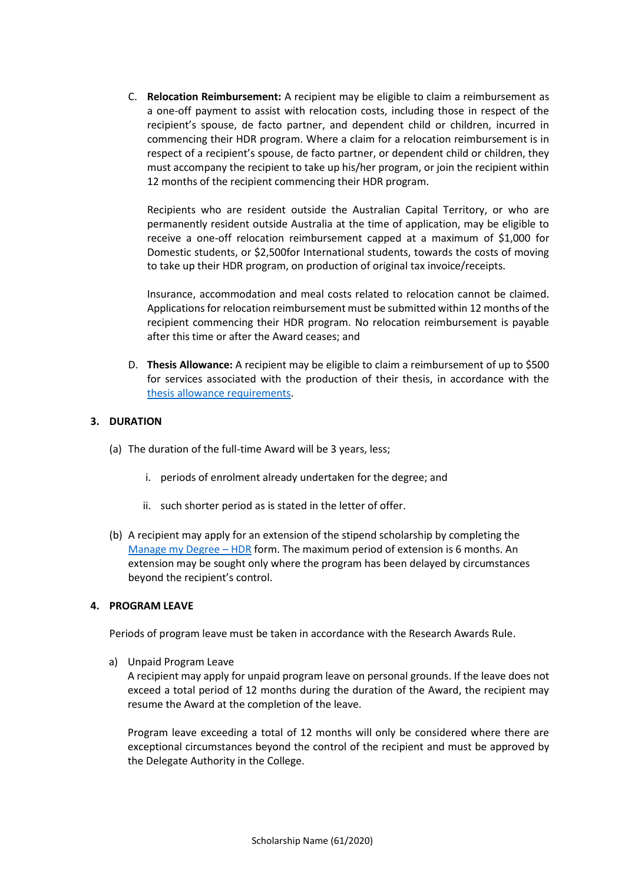C. **Relocation Reimbursement:** A recipient may be eligible to claim a reimbursement as a one-off payment to assist with relocation costs, including those in respect of the recipient's spouse, de facto partner, and dependent child or children, incurred in commencing their HDR program. Where a claim for a relocation reimbursement is in respect of a recipient's spouse, de facto partner, or dependent child or children, they must accompany the recipient to take up his/her program, or join the recipient within 12 months of the recipient commencing their HDR program.

Recipients who are resident outside the Australian Capital Territory, or who are permanently resident outside Australia at the time of application, may be eligible to receive a one-off relocation reimbursement capped at a maximum of \$1,000 for Domestic students, or \$2,500for International students, towards the costs of moving to take up their HDR program, on production of original tax invoice/receipts.

Insurance, accommodation and meal costs related to relocation cannot be claimed. Applications for relocation reimbursement must be submitted within 12 months of the recipient commencing their HDR program. No relocation reimbursement is payable after this time or after the Award ceases; and

D. **Thesis Allowance:** A recipient may be eligible to claim a reimbursement of up to \$500 for services associated with the production of their thesis, in accordance with the [thesis allowance requirements.](https://www.anu.edu.au/students/program-administration/assessments-exams/theses-reimbursement)

## **3. DURATION**

- (a) The duration of the full-time Award will be 3 years, less;
	- i. periods of enrolment already undertaken for the degree; and
	- ii. such shorter period as is stated in the letter of offer.
- (b) A recipient may apply for an extension of the stipend scholarship by completing the [Manage my Degree](https://idp2.anu.edu.au/idp/profile/SAML2/Redirect/SSO;jsessionid=node0jyz49wjcbe40lhbxn445zcfe888037.node0?execution=e1s1) – HDR form. The maximum period of extension is 6 months. An extension may be sought only where the program has been delayed by circumstances beyond the recipient's control.

## **4. PROGRAM LEAVE**

Periods of program leave must be taken in accordance with the Research Awards Rule.

a) Unpaid Program Leave

A recipient may apply for unpaid program leave on personal grounds. If the leave does not exceed a total period of 12 months during the duration of the Award, the recipient may resume the Award at the completion of the leave.

Program leave exceeding a total of 12 months will only be considered where there are exceptional circumstances beyond the control of the recipient and must be approved by the Delegate Authority in the College.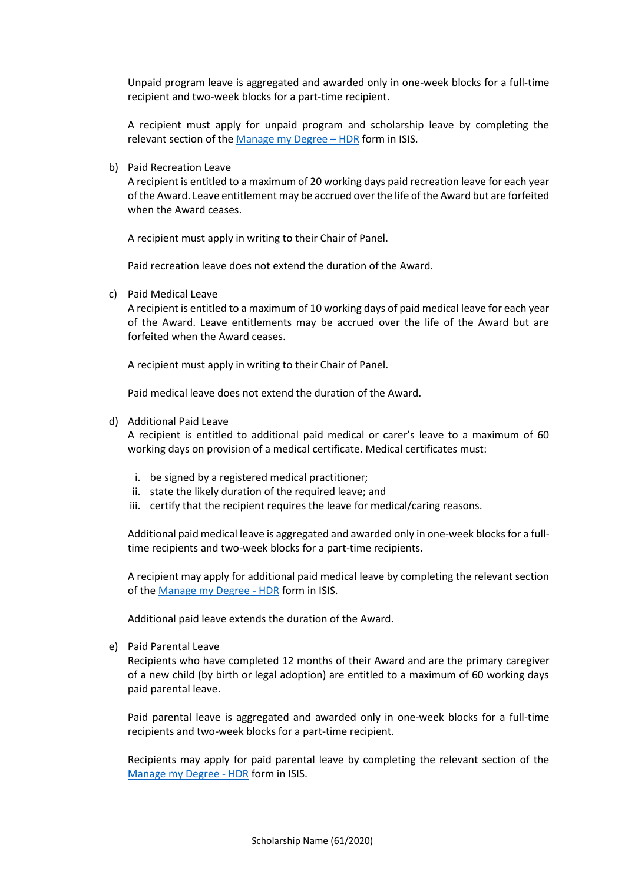Unpaid program leave is aggregated and awarded only in one-week blocks for a full-time recipient and two-week blocks for a part-time recipient.

A recipient must apply for unpaid program and scholarship leave by completing the relevant section of the [Manage my Degree](https://idp2.anu.edu.au/idp/profile/SAML2/Redirect/SSO;jsessionid=node0jyz49wjcbe40lhbxn445zcfe888037.node0?execution=e1s1) - HDR form in ISIS.

b) Paid Recreation Leave

A recipient is entitled to a maximum of 20 working days paid recreation leave for each year of the Award. Leave entitlement may be accrued over the life of the Award but are forfeited when the Award ceases.

A recipient must apply in writing to their Chair of Panel.

Paid recreation leave does not extend the duration of the Award.

c) Paid Medical Leave

A recipient is entitled to a maximum of 10 working days of paid medical leave for each year of the Award. Leave entitlements may be accrued over the life of the Award but are forfeited when the Award ceases.

A recipient must apply in writing to their Chair of Panel.

Paid medical leave does not extend the duration of the Award.

d) Additional Paid Leave

A recipient is entitled to additional paid medical or carer's leave to a maximum of 60 working days on provision of a medical certificate. Medical certificates must:

- i. be signed by a registered medical practitioner;
- ii. state the likely duration of the required leave; and
- iii. certify that the recipient requires the leave for medical/caring reasons.

Additional paid medical leave is aggregated and awarded only in one-week blocks for a fulltime recipients and two-week blocks for a part-time recipients.

A recipient may apply for additional paid medical leave by completing the relevant section of th[e Manage my Degree -](https://idp2.anu.edu.au/idp/profile/SAML2/Redirect/SSO;jsessionid=node0jyz49wjcbe40lhbxn445zcfe888037.node0?execution=e1s1) HDR form in ISIS.

Additional paid leave extends the duration of the Award.

e) Paid Parental Leave

Recipients who have completed 12 months of their Award and are the primary caregiver of a new child (by birth or legal adoption) are entitled to a maximum of 60 working days paid parental leave.

Paid parental leave is aggregated and awarded only in one-week blocks for a full-time recipients and two-week blocks for a part-time recipient.

Recipients may apply for paid parental leave by completing the relevant section of the [Manage my Degree -](https://idp2.anu.edu.au/idp/profile/SAML2/Redirect/SSO?execution=e1s1) HDR form in ISIS.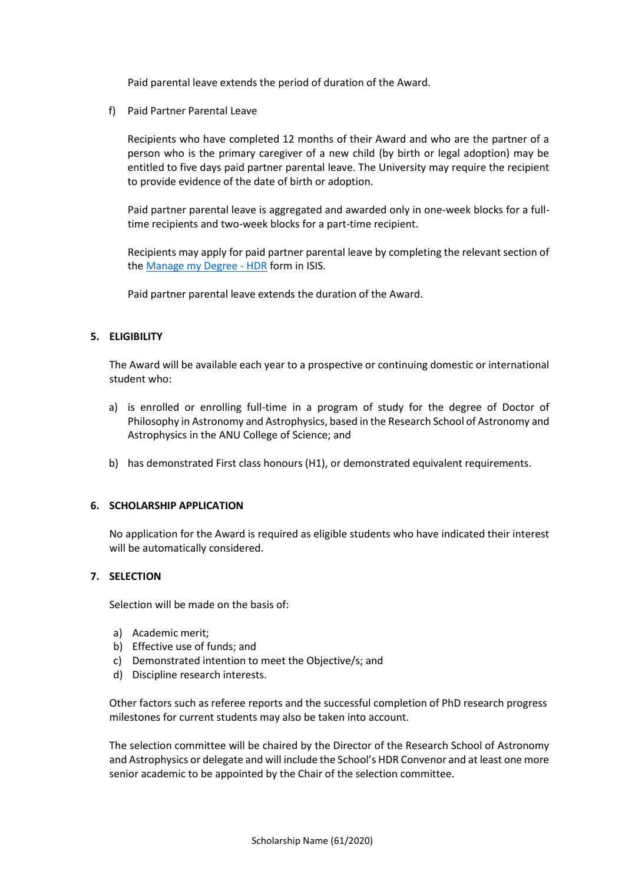Paid parental leave extends the period of duration of the Award.

f) Paid Partner Parental Leave

Recipients who have completed 12 months of their Award and who are the partner of a person who is the primary caregiver of a new child (by birth or legal adoption) may be entitled to five days paid partner parental leave. The University may require the recipient to provide evidence of the date of birth or adoption.

Paid partner parental leave is aggregated and awarded only in one-week blocks for a fulltime recipients and two-week blocks for a part-time recipient.

Recipients may apply for paid partner parental leave by completing the relevant section of the [Manage my Degree -](https://idp2.anu.edu.au/idp/profile/SAML2/Redirect/SSO?execution=e1s1) HDR form in ISIS.

Paid partner parental leave extends the duration of the Award.

## **5. ELIGIBILITY**

The Award will be available each year to a prospective or continuing domestic or international student who:

- a) is enrolled or enrolling full-time in a program of study for the degree of Doctor of Philosophy in Astronomy and Astrophysics, based in the Research School of Astronomy and Astrophysics in the ANU College of Science; and
- b) has demonstrated First class honours (H1), or demonstrated equivalent requirements.

### **6. SCHOLARSHIP APPLICATION**

No application for the Award is required as eligible students who have indicated their interest will be automatically considered.

## **7. SELECTION**

Selection will be made on the basis of:

- a) Academic merit;
- b) Effective use of funds; and
- c) Demonstrated intention to meet the Objective/s; and
- d) Discipline research interests.

Other factors such as referee reports and the successful completion of PhD research progress milestones for current students may also be taken into account.

The selection committee will be chaired by the Director of the Research School of Astronomy and Astrophysics or delegate and will include the School's HDR Convenor and at least one more senior academic to be appointed by the Chair of the selection committee.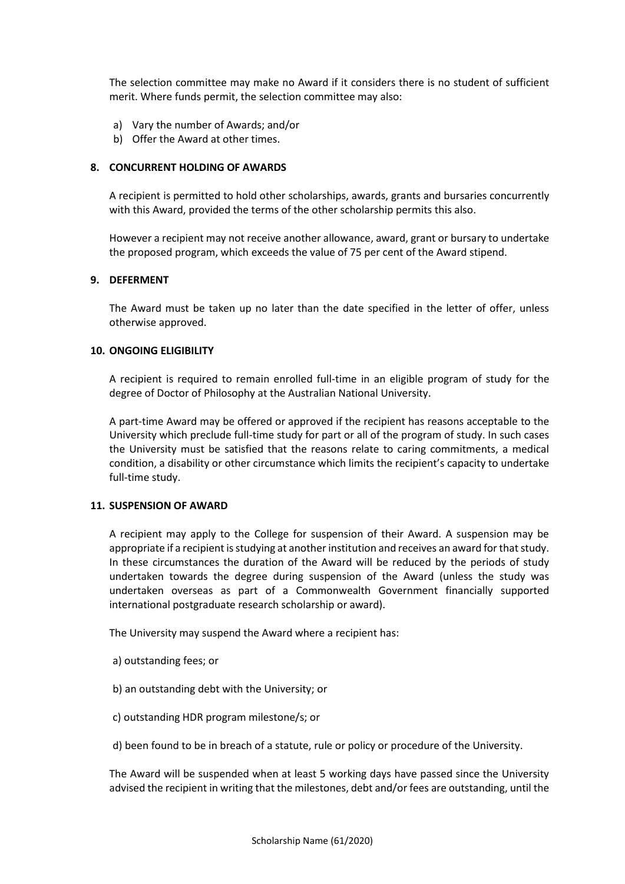The selection committee may make no Award if it considers there is no student of sufficient merit. Where funds permit, the selection committee may also:

- a) Vary the number of Awards; and/or
- b) Offer the Award at other times.

## **8. CONCURRENT HOLDING OF AWARDS**

A recipient is permitted to hold other scholarships, awards, grants and bursaries concurrently with this Award, provided the terms of the other scholarship permits this also.

However a recipient may not receive another allowance, award, grant or bursary to undertake the proposed program, which exceeds the value of 75 per cent of the Award stipend.

#### **9. DEFERMENT**

The Award must be taken up no later than the date specified in the letter of offer, unless otherwise approved.

## **10. ONGOING ELIGIBILITY**

A recipient is required to remain enrolled full-time in an eligible program of study for the degree of Doctor of Philosophy at the Australian National University.

A part-time Award may be offered or approved if the recipient has reasons acceptable to the University which preclude full-time study for part or all of the program of study. In such cases the University must be satisfied that the reasons relate to caring commitments, a medical condition, a disability or other circumstance which limits the recipient's capacity to undertake full-time study.

#### **11. SUSPENSION OF AWARD**

A recipient may apply to the College for suspension of their Award. A suspension may be appropriate if a recipient is studying at another institution and receives an award for that study. In these circumstances the duration of the Award will be reduced by the periods of study undertaken towards the degree during suspension of the Award (unless the study was undertaken overseas as part of a Commonwealth Government financially supported international postgraduate research scholarship or award).

The University may suspend the Award where a recipient has:

- a) outstanding fees; or
- b) an outstanding debt with the University; or
- c) outstanding HDR program milestone/s; or
- d) been found to be in breach of a statute, rule or policy or procedure of the University.

The Award will be suspended when at least 5 working days have passed since the University advised the recipient in writing that the milestones, debt and/or fees are outstanding, until the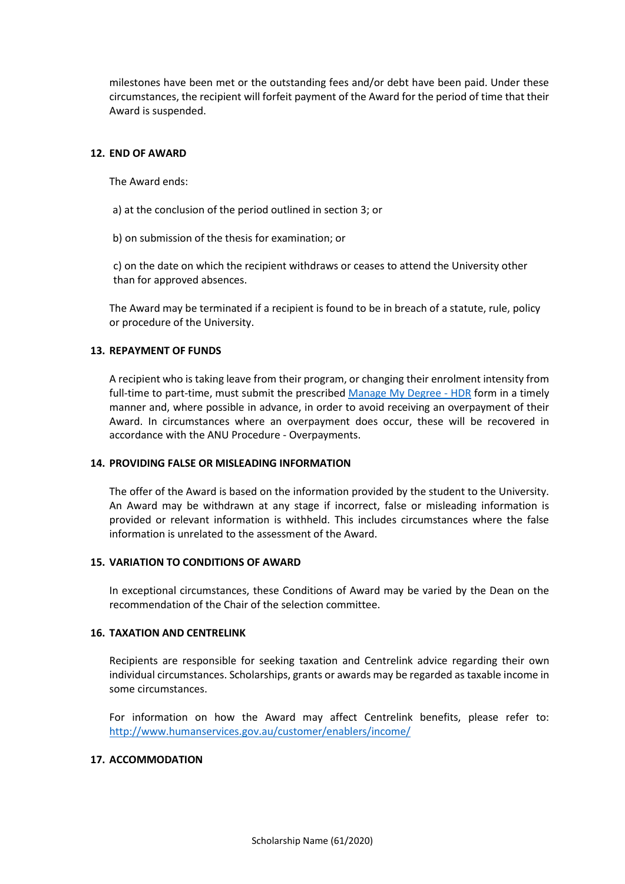milestones have been met or the outstanding fees and/or debt have been paid. Under these circumstances, the recipient will forfeit payment of the Award for the period of time that their Award is suspended.

#### **12. END OF AWARD**

The Award ends:

- a) at the conclusion of the period outlined in section 3; or
- b) on submission of the thesis for examination; or

c) on the date on which the recipient withdraws or ceases to attend the University other than for approved absences.

The Award may be terminated if a recipient is found to be in breach of a statute, rule, policy or procedure of the University.

## **13. REPAYMENT OF FUNDS**

A recipient who is taking leave from their program, or changing their enrolment intensity from full-time to part-time, must submit the prescribed [Manage My Degree -](https://idp2.anu.edu.au/idp/profile/SAML2/Redirect/SSO?execution=e1s1) HDR form in a timely manner and, where possible in advance, in order to avoid receiving an overpayment of their Award. In circumstances where an overpayment does occur, these will be recovered in accordance with the ANU Procedure - Overpayments.

#### **14. PROVIDING FALSE OR MISLEADING INFORMATION**

The offer of the Award is based on the information provided by the student to the University. An Award may be withdrawn at any stage if incorrect, false or misleading information is provided or relevant information is withheld. This includes circumstances where the false information is unrelated to the assessment of the Award.

## **15. VARIATION TO CONDITIONS OF AWARD**

In exceptional circumstances, these Conditions of Award may be varied by the Dean on the recommendation of the Chair of the selection committee.

#### **16. TAXATION AND CENTRELINK**

Recipients are responsible for seeking taxation and Centrelink advice regarding their own individual circumstances. Scholarships, grants or awards may be regarded as taxable income in some circumstances.

For information on how the Award may affect Centrelink benefits, please refer to: <http://www.humanservices.gov.au/customer/enablers/income/>

#### **17. ACCOMMODATION**